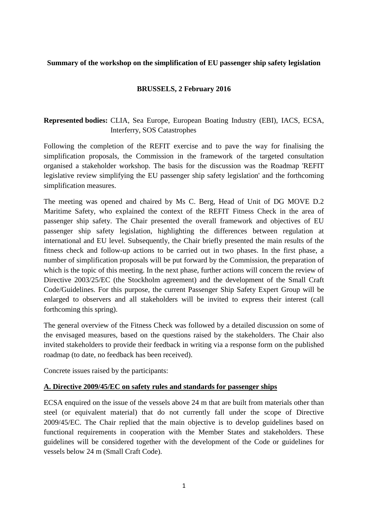### **Summary of the workshop on the simplification of EU passenger ship safety legislation**

## **BRUSSELS, 2 February 2016**

# **Represented bodies:** CLIA, Sea Europe, European Boating Industry (EBI), IACS, ECSA, Interferry, SOS Catastrophes

Following the completion of the REFIT exercise and to pave the way for finalising the simplification proposals, the Commission in the framework of the targeted consultation organised a stakeholder workshop. The basis for the discussion was the Roadmap 'REFIT legislative review simplifying the EU passenger ship safety legislation' and the forthcoming simplification measures.

The meeting was opened and chaired by Ms C. Berg, Head of Unit of DG MOVE D.2 Maritime Safety, who explained the context of the REFIT Fitness Check in the area of passenger ship safety. The Chair presented the overall framework and objectives of EU passenger ship safety legislation, highlighting the differences between regulation at international and EU level. Subsequently, the Chair briefly presented the main results of the fitness check and follow-up actions to be carried out in two phases. In the first phase, a number of simplification proposals will be put forward by the Commission, the preparation of which is the topic of this meeting. In the next phase, further actions will concern the review of Directive 2003/25/EC (the Stockholm agreement) and the development of the Small Craft Code/Guidelines. For this purpose, the current Passenger Ship Safety Expert Group will be enlarged to observers and all stakeholders will be invited to express their interest (call forthcoming this spring).

The general overview of the Fitness Check was followed by a detailed discussion on some of the envisaged measures, based on the questions raised by the stakeholders. The Chair also invited stakeholders to provide their feedback in writing via a response form on the published roadmap (to date, no feedback has been received).

Concrete issues raised by the participants:

#### **A. Directive 2009/45/EC on safety rules and standards for passenger ships**

ECSA enquired on the issue of the vessels above 24 m that are built from materials other than steel (or equivalent material) that do not currently fall under the scope of Directive 2009/45/EC. The Chair replied that the main objective is to develop guidelines based on functional requirements in cooperation with the Member States and stakeholders. These guidelines will be considered together with the development of the Code or guidelines for vessels below 24 m (Small Craft Code).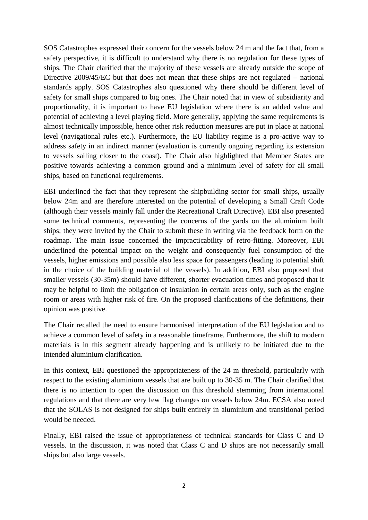SOS Catastrophes expressed their concern for the vessels below 24 m and the fact that, from a safety perspective, it is difficult to understand why there is no regulation for these types of ships. The Chair clarified that the majority of these vessels are already outside the scope of Directive 2009/45/EC but that does not mean that these ships are not regulated – national standards apply. SOS Catastrophes also questioned why there should be different level of safety for small ships compared to big ones. The Chair noted that in view of subsidiarity and proportionality, it is important to have EU legislation where there is an added value and potential of achieving a level playing field. More generally, applying the same requirements is almost technically impossible, hence other risk reduction measures are put in place at national level (navigational rules etc.). Furthermore, the EU liability regime is a pro-active way to address safety in an indirect manner (evaluation is currently ongoing regarding its extension to vessels sailing closer to the coast). The Chair also highlighted that Member States are positive towards achieving a common ground and a minimum level of safety for all small ships, based on functional requirements.

EBI underlined the fact that they represent the shipbuilding sector for small ships, usually below 24m and are therefore interested on the potential of developing a Small Craft Code (although their vessels mainly fall under the Recreational Craft Directive). EBI also presented some technical comments, representing the concerns of the yards on the aluminium built ships; they were invited by the Chair to submit these in writing via the feedback form on the roadmap. The main issue concerned the impracticability of retro-fitting. Moreover, EBI underlined the potential impact on the weight and consequently fuel consumption of the vessels, higher emissions and possible also less space for passengers (leading to potential shift in the choice of the building material of the vessels). In addition, EBI also proposed that smaller vessels (30-35m) should have different, shorter evacuation times and proposed that it may be helpful to limit the obligation of insulation in certain areas only, such as the engine room or areas with higher risk of fire. On the proposed clarifications of the definitions, their opinion was positive.

The Chair recalled the need to ensure harmonised interpretation of the EU legislation and to achieve a common level of safety in a reasonable timeframe. Furthermore, the shift to modern materials is in this segment already happening and is unlikely to be initiated due to the intended aluminium clarification.

In this context, EBI questioned the appropriateness of the 24 m threshold, particularly with respect to the existing aluminium vessels that are built up to 30-35 m. The Chair clarified that there is no intention to open the discussion on this threshold stemming from international regulations and that there are very few flag changes on vessels below 24m. ECSA also noted that the SOLAS is not designed for ships built entirely in aluminium and transitional period would be needed.

Finally, EBI raised the issue of appropriateness of technical standards for Class C and D vessels. In the discussion, it was noted that Class C and D ships are not necessarily small ships but also large vessels.